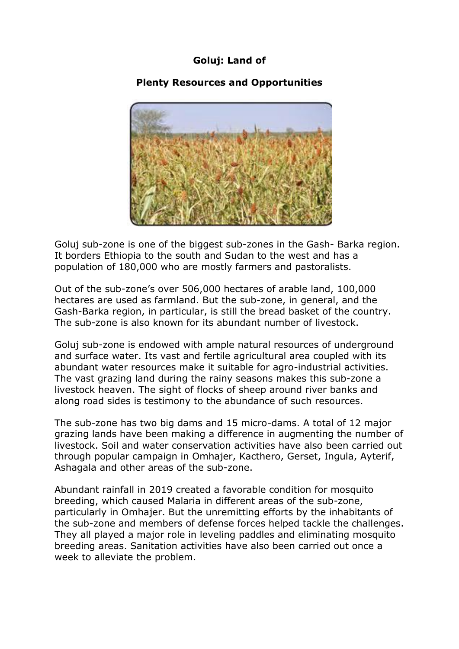## **Goluj: Land of**

## **Plenty Resources and Opportunities**



Goluj sub-zone is one of the biggest sub-zones in the Gash- Barka region. It borders Ethiopia to the south and Sudan to the west and has a population of 180,000 who are mostly farmers and pastoralists.

Out of the sub-zone's over 506,000 hectares of arable land, 100,000 hectares are used as farmland. But the sub-zone, in general, and the Gash-Barka region, in particular, is still the bread basket of the country. The sub-zone is also known for its abundant number of livestock.

Goluj sub-zone is endowed with ample natural resources of underground and surface water. Its vast and fertile agricultural area coupled with its abundant water resources make it suitable for agro-industrial activities. The vast grazing land during the rainy seasons makes this sub-zone a livestock heaven. The sight of flocks of sheep around river banks and along road sides is testimony to the abundance of such resources.

The sub-zone has two big dams and 15 micro-dams. A total of 12 major grazing lands have been making a difference in augmenting the number of livestock. Soil and water conservation activities have also been carried out through popular campaign in Omhajer, Kacthero, Gerset, Ingula, Ayterif, Ashagala and other areas of the sub-zone.

Abundant rainfall in 2019 created a favorable condition for mosquito breeding, which caused Malaria in different areas of the sub-zone, particularly in Omhajer. But the unremitting efforts by the inhabitants of the sub-zone and members of defense forces helped tackle the challenges. They all played a major role in leveling paddles and eliminating mosquito breeding areas. Sanitation activities have also been carried out once a week to alleviate the problem.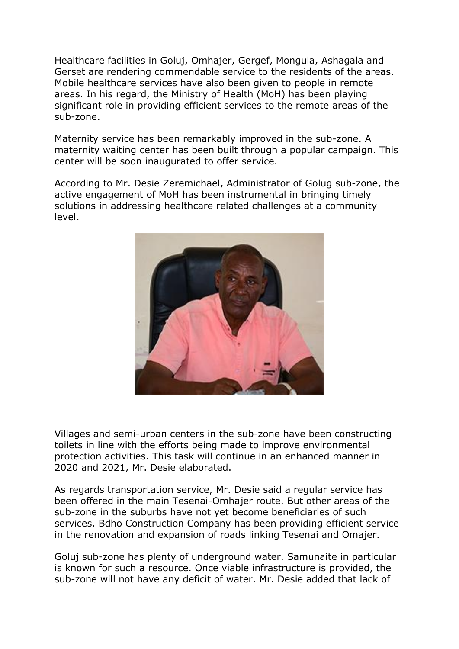Healthcare facilities in Goluj, Omhajer, Gergef, Mongula, Ashagala and Gerset are rendering commendable service to the residents of the areas. Mobile healthcare services have also been given to people in remote areas. In his regard, the Ministry of Health (MoH) has been playing significant role in providing efficient services to the remote areas of the sub-zone.

Maternity service has been remarkably improved in the sub-zone. A maternity waiting center has been built through a popular campaign. This center will be soon inaugurated to offer service.

According to Mr. Desie Zeremichael, Administrator of Golug sub-zone, the active engagement of MoH has been instrumental in bringing timely solutions in addressing healthcare related challenges at a community level.



Villages and semi-urban centers in the sub-zone have been constructing toilets in line with the efforts being made to improve environmental protection activities. This task will continue in an enhanced manner in 2020 and 2021, Mr. Desie elaborated.

As regards transportation service, Mr. Desie said a regular service has been offered in the main Tesenai-Omhajer route. But other areas of the sub-zone in the suburbs have not yet become beneficiaries of such services. Bdho Construction Company has been providing efficient service in the renovation and expansion of roads linking Tesenai and Omajer.

Goluj sub-zone has plenty of underground water. Samunaite in particular is known for such a resource. Once viable infrastructure is provided, the sub-zone will not have any deficit of water. Mr. Desie added that lack of